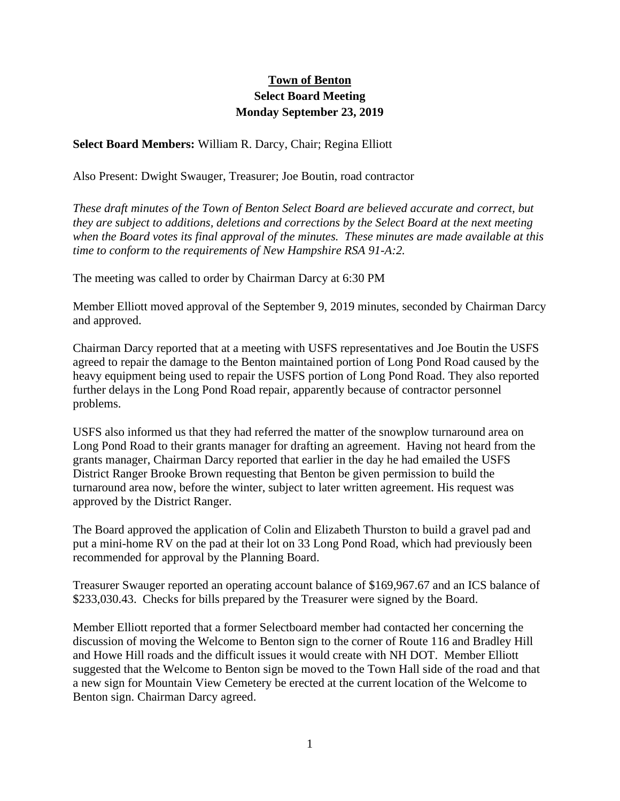## **Town of Benton Select Board Meeting Monday September 23, 2019**

**Select Board Members:** William R. Darcy, Chair; Regina Elliott

Also Present: Dwight Swauger, Treasurer; Joe Boutin, road contractor

*These draft minutes of the Town of Benton Select Board are believed accurate and correct, but they are subject to additions, deletions and corrections by the Select Board at the next meeting when the Board votes its final approval of the minutes. These minutes are made available at this time to conform to the requirements of New Hampshire RSA 91-A:2.*

The meeting was called to order by Chairman Darcy at 6:30 PM

Member Elliott moved approval of the September 9, 2019 minutes, seconded by Chairman Darcy and approved.

Chairman Darcy reported that at a meeting with USFS representatives and Joe Boutin the USFS agreed to repair the damage to the Benton maintained portion of Long Pond Road caused by the heavy equipment being used to repair the USFS portion of Long Pond Road. They also reported further delays in the Long Pond Road repair, apparently because of contractor personnel problems.

USFS also informed us that they had referred the matter of the snowplow turnaround area on Long Pond Road to their grants manager for drafting an agreement. Having not heard from the grants manager, Chairman Darcy reported that earlier in the day he had emailed the USFS District Ranger Brooke Brown requesting that Benton be given permission to build the turnaround area now, before the winter, subject to later written agreement. His request was approved by the District Ranger.

The Board approved the application of Colin and Elizabeth Thurston to build a gravel pad and put a mini-home RV on the pad at their lot on 33 Long Pond Road, which had previously been recommended for approval by the Planning Board.

Treasurer Swauger reported an operating account balance of \$169,967.67 and an ICS balance of \$233,030.43. Checks for bills prepared by the Treasurer were signed by the Board.

Member Elliott reported that a former Selectboard member had contacted her concerning the discussion of moving the Welcome to Benton sign to the corner of Route 116 and Bradley Hill and Howe Hill roads and the difficult issues it would create with NH DOT. Member Elliott suggested that the Welcome to Benton sign be moved to the Town Hall side of the road and that a new sign for Mountain View Cemetery be erected at the current location of the Welcome to Benton sign. Chairman Darcy agreed.